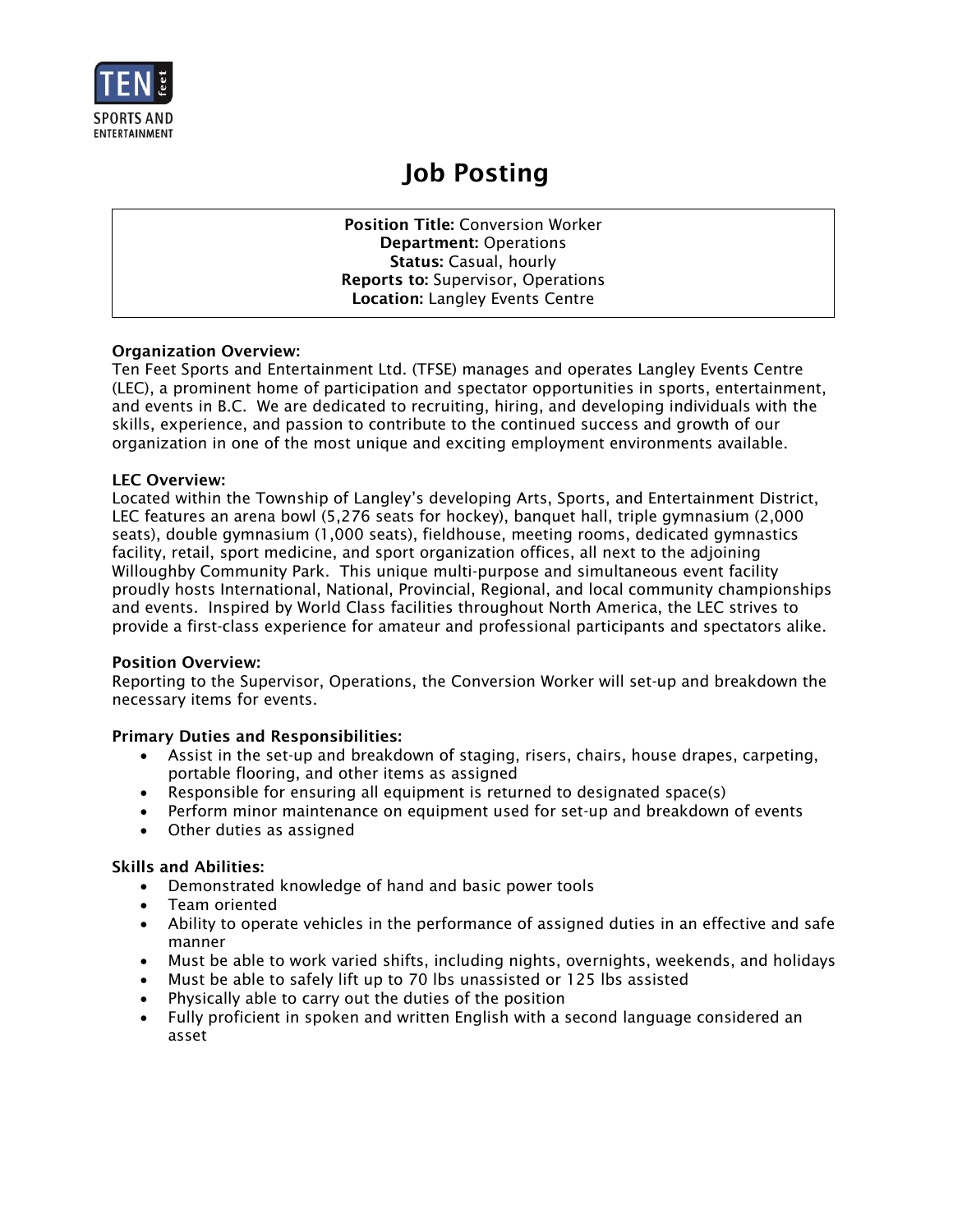

# Job Posting

Position Title: Conversion Worker Department: Operations Status: Casual, hourly Reports to: Supervisor, Operations Location: Langley Events Centre

## Organization Overview:

Ten Feet Sports and Entertainment Ltd. (TFSE) manages and operates Langley Events Centre (LEC), a prominent home of participation and spectator opportunities in sports, entertainment, and events in B.C. We are dedicated to recruiting, hiring, and developing individuals with the skills, experience, and passion to contribute to the continued success and growth of our organization in one of the most unique and exciting employment environments available.

## LEC Overview:

Located within the Township of Langley's developing Arts, Sports, and Entertainment District, LEC features an arena bowl (5,276 seats for hockey), banquet hall, triple gymnasium (2,000 seats), double gymnasium (1,000 seats), fieldhouse, meeting rooms, dedicated gymnastics facility, retail, sport medicine, and sport organization offices, all next to the adjoining Willoughby Community Park. This unique multi-purpose and simultaneous event facility proudly hosts International, National, Provincial, Regional, and local community championships and events. Inspired by World Class facilities throughout North America, the LEC strives to provide a first-class experience for amateur and professional participants and spectators alike.

#### Position Overview:

Reporting to the Supervisor, Operations, the Conversion Worker will set-up and breakdown the necessary items for events.

## Primary Duties and Responsibilities:

- Assist in the set-up and breakdown of staging, risers, chairs, house drapes, carpeting, portable flooring, and other items as assigned
- Responsible for ensuring all equipment is returned to designated space(s)
- Perform minor maintenance on equipment used for set-up and breakdown of events
- Other duties as assigned

#### Skills and Abilities:

- Demonstrated knowledge of hand and basic power tools
- Team oriented
- Ability to operate vehicles in the performance of assigned duties in an effective and safe manner
- Must be able to work varied shifts, including nights, overnights, weekends, and holidays
- Must be able to safely lift up to 70 lbs unassisted or 125 lbs assisted
- Physically able to carry out the duties of the position
- Fully proficient in spoken and written English with a second language considered an asset